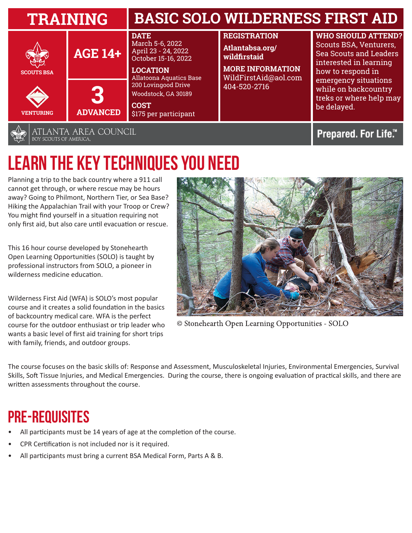| <b>TRAINING</b>                                |                      | <b>BASIC SOLO WILDERNESS FIRST AID</b>                                                                                                                                                                                  |                                                                                                                           |                                                                                                                                                                                                                               |
|------------------------------------------------|----------------------|-------------------------------------------------------------------------------------------------------------------------------------------------------------------------------------------------------------------------|---------------------------------------------------------------------------------------------------------------------------|-------------------------------------------------------------------------------------------------------------------------------------------------------------------------------------------------------------------------------|
| <b>SCOUTS BSA</b>                              | <b>AGE 14+</b>       | <b>DATE</b><br>March 5-6, 2022<br>April 23 - 24, 2022<br>October 15-16, 2022<br><b>LOCATION</b><br><b>Allatoona Aquatics Base</b><br>200 Lovingood Drive<br>Woodstock, GA 30189<br><b>COST</b><br>\$175 per participant | <b>REGISTRATION</b><br>Atlantabsa.org/<br>wildfirstaid<br><b>MORE INFORMATION</b><br>WildFirstAid@aol.com<br>404-520-2716 | <b>WHO SHOULD ATTEND?</b><br>Scouts BSA, Venturers,<br><b>Sea Scouts and Leaders</b><br>interested in learning<br>how to respond in<br>emergency situations<br>while on backcountry<br>treks or where help may<br>be delayed. |
| <b>VENTURING</b>                               | 6<br><b>ADVANCED</b> |                                                                                                                                                                                                                         |                                                                                                                           |                                                                                                                                                                                                                               |
| ATLANTA AREA COUNCIL<br>BOY SCOUTS OF AMERICA. |                      |                                                                                                                                                                                                                         |                                                                                                                           | Prepared. For Life.™                                                                                                                                                                                                          |

## **LEARN THE KEY TECHNIQUES YOU NEED**

Planning a trip to the back country where a 911 call cannot get through, or where rescue may be hours away? Going to Philmont, Northern Tier, or Sea Base? Hiking the Appalachian Trail with your Troop or Crew? You might find yourself in a situation requiring not only first aid, but also care until evacuation or rescue.

This 16 hour course developed by Stonehearth Open Learning Opportunities (SOLO) is taught by professional instructors from SOLO, a pioneer in wilderness medicine education.

Wilderness First Aid (WFA) is SOLO's most popular course and it creates a solid foundation in the basics of backcountry medical care. WFA is the perfect course for the outdoor enthusiast or trip leader who wants a basic level of first aid training for short trips with family, friends, and outdoor groups.



© Stonehearth Open Learning Opportunities - SOLO

The course focuses on the basic skills of: Response and Assessment, Musculoskeletal Injuries, Environmental Emergencies, Survival Skills, Soft Tissue Injuries, and Medical Emergencies. During the course, there is ongoing evaluation of practical skills, and there are written assessments throughout the course.

## **Pre-Requisites**

- All participants must be 14 years of age at the completion of the course.
- CPR Certification is not included nor is it required.
- All participants must bring a current BSA Medical Form, Parts A & B.